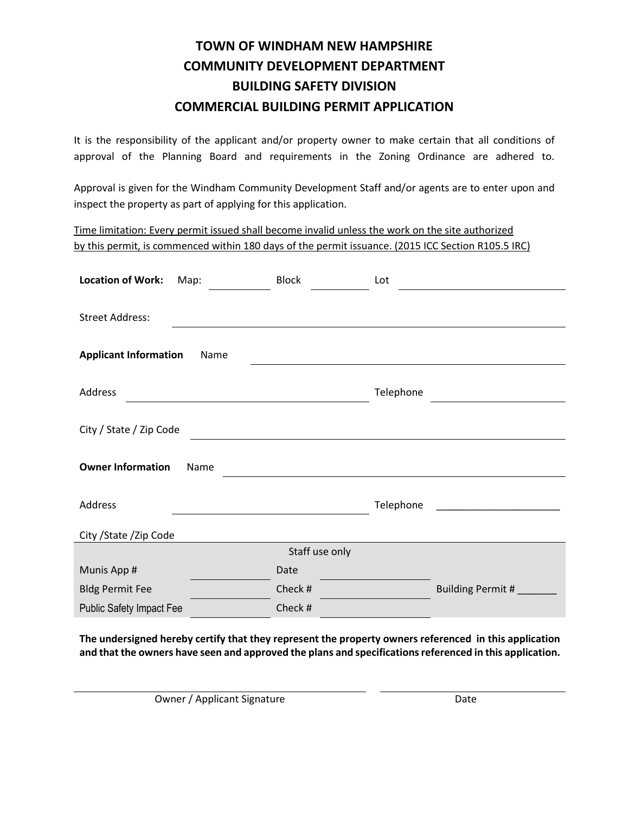It is the responsibility of the applicant and/or property owner to make certain that all conditions of approval of the Planning Board and requirements in the Zoning Ordinance are adhered to.

Approval is given for the Windham Community Development Staff and/or agents are to enter upon and inspect the property as part of applying for this application.

Time limitation: Every permit issued shall become invalid unless the work on the site authorized by this permit, is commenced within 180 days of the permit issuance. (2015 ICC Section R105.5 IRC)

| <b>Location of Work:</b>             | Map: | <b>Block</b>   | Lot       |                                                 |  |  |  |  |
|--------------------------------------|------|----------------|-----------|-------------------------------------------------|--|--|--|--|
| <b>Street Address:</b>               |      |                |           |                                                 |  |  |  |  |
| <b>Applicant Information</b><br>Name |      |                |           |                                                 |  |  |  |  |
| Address                              |      |                | Telephone |                                                 |  |  |  |  |
| City / State / Zip Code              |      |                |           |                                                 |  |  |  |  |
| <b>Owner Information</b><br>Name     |      |                |           |                                                 |  |  |  |  |
| Address                              |      |                | Telephone | <u> 1980 - John Barnett, fransk politiker (</u> |  |  |  |  |
| City / State / Zip Code              |      |                |           |                                                 |  |  |  |  |
|                                      |      | Staff use only |           |                                                 |  |  |  |  |
| Munis App #                          |      | Date           |           |                                                 |  |  |  |  |
| <b>Bldg Permit Fee</b>               |      | Check #        |           | Building Permit #_                              |  |  |  |  |
| <b>Public Safety Impact Fee</b>      |      | Check #        |           |                                                 |  |  |  |  |

**The undersigned hereby certify that they represent the property owners referenced in this application and that the owners have seen and approved the plans and specifications referenced in this application.**

Owner / Applicant Signature Date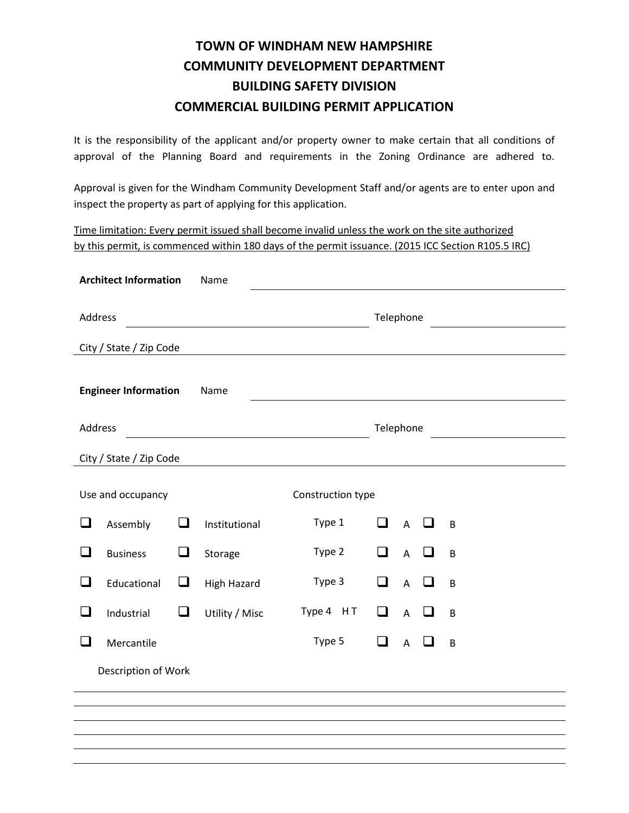It is the responsibility of the applicant and/or property owner to make certain that all conditions of approval of the Planning Board and requirements in the Zoning Ordinance are adhered to.

Approval is given for the Windham Community Development Staff and/or agents are to enter upon and inspect the property as part of applying for this application.

Time limitation: Every permit issued shall become invalid unless the work on the site authorized by this permit, is commenced within 180 days of the permit issuance. (2015 ICC Section R105.5 IRC)

|                             | <b>Architect Information</b> |        | Name               |           |                   |        |                |            |                |  |  |  |
|-----------------------------|------------------------------|--------|--------------------|-----------|-------------------|--------|----------------|------------|----------------|--|--|--|
| Address                     |                              |        | Telephone          |           |                   |        |                |            |                |  |  |  |
|                             | City / State / Zip Code      |        |                    |           |                   |        |                |            |                |  |  |  |
| <b>Engineer Information</b> |                              |        | Name               |           |                   |        |                |            |                |  |  |  |
| Address                     |                              |        |                    | Telephone |                   |        |                |            |                |  |  |  |
| City / State / Zip Code     |                              |        |                    |           |                   |        |                |            |                |  |  |  |
| Use and occupancy           |                              |        |                    |           | Construction type |        |                |            |                |  |  |  |
| ❏                           | Assembly                     | □      | Institutional      |           | Type 1            | $\Box$ |                | $A$ $\Box$ | $\overline{B}$ |  |  |  |
| $\Box$                      | <b>Business</b>              | $\Box$ | Storage            |           | Type 2            | $\Box$ | $\overline{A}$ | ப          | B              |  |  |  |
| ❏                           | Educational                  | $\Box$ | <b>High Hazard</b> |           | Type 3            | $\Box$ | $\overline{A}$ | $\Box$     | B              |  |  |  |
| $\Box$                      | Industrial                   | $\Box$ | Utility / Misc     |           | Type 4 HT         | $\Box$ | $\overline{A}$ | $\Box$     | $\overline{B}$ |  |  |  |
| ப                           | Mercantile                   |        |                    |           | Type 5            | $\Box$ | $\overline{A}$ | ப          | B              |  |  |  |
| Description of Work         |                              |        |                    |           |                   |        |                |            |                |  |  |  |
|                             |                              |        |                    |           |                   |        |                |            |                |  |  |  |
|                             |                              |        |                    |           |                   |        |                |            |                |  |  |  |
|                             |                              |        |                    |           |                   |        |                |            |                |  |  |  |
|                             |                              |        |                    |           |                   |        |                |            |                |  |  |  |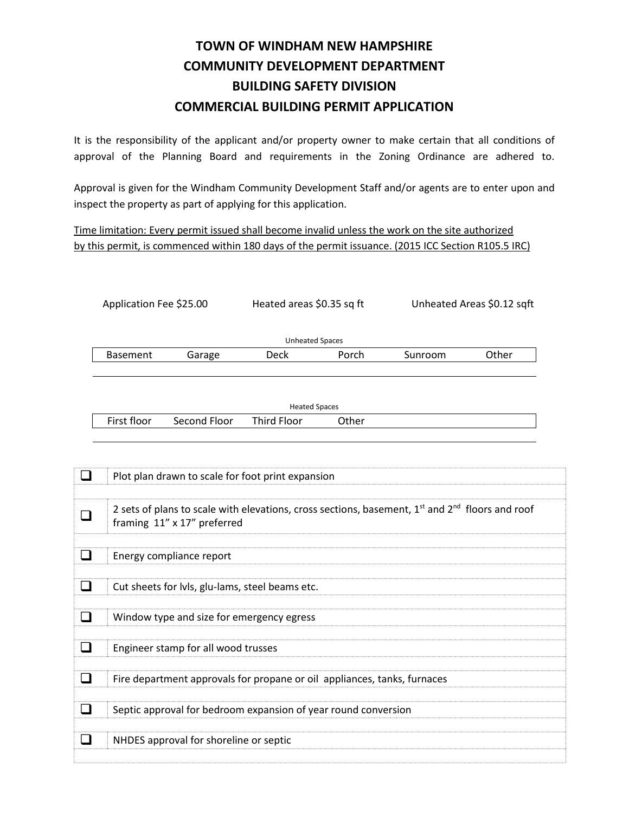It is the responsibility of the applicant and/or property owner to make certain that all conditions of approval of the Planning Board and requirements in the Zoning Ordinance are adhered to.

Approval is given for the Windham Community Development Staff and/or agents are to enter upon and inspect the property as part of applying for this application.

Application Fee \$25.00 Heated areas \$0.35 sq ft Unheated Areas \$0.12 sqft

Time limitation: Every permit issued shall become invalid unless the work on the site authorized by this permit, is commenced within 180 days of the permit issuance. (2015 ICC Section R105.5 IRC)

|                                       | <b>Unheated Spaces</b>                          |                                                                          |                      |       |                                                                                                     |       |  |
|---------------------------------------|-------------------------------------------------|--------------------------------------------------------------------------|----------------------|-------|-----------------------------------------------------------------------------------------------------|-------|--|
|                                       | <b>Basement</b>                                 | Garage                                                                   | <b>Deck</b>          | Porch | Sunroom                                                                                             | Other |  |
|                                       |                                                 |                                                                          |                      |       |                                                                                                     |       |  |
|                                       |                                                 |                                                                          |                      |       |                                                                                                     |       |  |
|                                       |                                                 |                                                                          | <b>Heated Spaces</b> |       |                                                                                                     |       |  |
|                                       | First floor                                     | Second Floor                                                             | <b>Third Floor</b>   | Other |                                                                                                     |       |  |
|                                       |                                                 |                                                                          |                      |       |                                                                                                     |       |  |
|                                       |                                                 |                                                                          |                      |       |                                                                                                     |       |  |
|                                       |                                                 |                                                                          |                      |       |                                                                                                     |       |  |
| $\begin{array}{c} \hline \end{array}$ |                                                 | Plot plan drawn to scale for foot print expansion                        |                      |       |                                                                                                     |       |  |
|                                       |                                                 |                                                                          |                      |       |                                                                                                     |       |  |
|                                       |                                                 |                                                                          |                      |       | 2 sets of plans to scale with elevations, cross sections, basement, $1st$ and $2nd$ floors and roof |       |  |
| $\Box$                                |                                                 | framing 11" x 17" preferred                                              |                      |       |                                                                                                     |       |  |
|                                       |                                                 |                                                                          |                      |       |                                                                                                     |       |  |
| ப                                     | Energy compliance report                        |                                                                          |                      |       |                                                                                                     |       |  |
|                                       |                                                 |                                                                          |                      |       |                                                                                                     |       |  |
| $\mathcal{L}$                         | Cut sheets for lvls, glu-lams, steel beams etc. |                                                                          |                      |       |                                                                                                     |       |  |
|                                       |                                                 |                                                                          |                      |       |                                                                                                     |       |  |
| $\blacksquare$                        | Window type and size for emergency egress       |                                                                          |                      |       |                                                                                                     |       |  |
|                                       |                                                 |                                                                          |                      |       |                                                                                                     |       |  |
| $\Box$                                |                                                 | Engineer stamp for all wood trusses                                      |                      |       |                                                                                                     |       |  |
|                                       |                                                 |                                                                          |                      |       |                                                                                                     |       |  |
| $\Box$                                |                                                 | Fire department approvals for propane or oil appliances, tanks, furnaces |                      |       |                                                                                                     |       |  |
|                                       |                                                 |                                                                          |                      |       |                                                                                                     |       |  |
| $\Box$                                |                                                 | Septic approval for bedroom expansion of year round conversion           |                      |       |                                                                                                     |       |  |
|                                       |                                                 |                                                                          |                      |       |                                                                                                     |       |  |
| n.                                    |                                                 |                                                                          |                      |       |                                                                                                     |       |  |
|                                       |                                                 | NHDES approval for shoreline or septic                                   |                      |       |                                                                                                     |       |  |
|                                       |                                                 |                                                                          |                      |       |                                                                                                     |       |  |